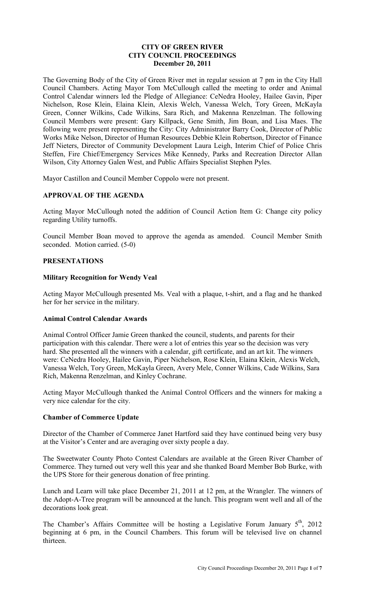## **CITY OF GREEN RIVER CITY COUNCIL PROCEEDINGS December 20, 2011**

The Governing Body of the City of Green River met in regular session at 7 pm in the City Hall Council Chambers. Acting Mayor Tom McCullough called the meeting to order and Animal Control Calendar winners led the Pledge of Allegiance: CeNedra Hooley, Hailee Gavin, Piper Nichelson, Rose Klein, Elaina Klein, Alexis Welch, Vanessa Welch, Tory Green, McKayla Green, Conner Wilkins, Cade Wilkins, Sara Rich, and Makenna Renzelman. The following Council Members were present: Gary Killpack, Gene Smith, Jim Boan, and Lisa Maes. The following were present representing the City: City Administrator Barry Cook, Director of Public Works Mike Nelson, Director of Human Resources Debbie Klein Robertson, Director of Finance Jeff Nieters, Director of Community Development Laura Leigh, Interim Chief of Police Chris Steffen, Fire Chief/Emergency Services Mike Kennedy, Parks and Recreation Director Allan Wilson, City Attorney Galen West, and Public Affairs Specialist Stephen Pyles.

Mayor Castillon and Council Member Coppolo were not present.

# **APPROVAL OF THE AGENDA**

Acting Mayor McCullough noted the addition of Council Action Item G: Change city policy regarding Utility turnoffs.

Council Member Boan moved to approve the agenda as amended. Council Member Smith seconded. Motion carried. (5-0)

## **PRESENTATIONS**

## **Military Recognition for Wendy Veal**

Acting Mayor McCullough presented Ms. Veal with a plaque, t-shirt, and a flag and he thanked her for her service in the military.

## **Animal Control Calendar Awards**

Animal Control Officer Jamie Green thanked the council, students, and parents for their participation with this calendar. There were a lot of entries this year so the decision was very hard. She presented all the winners with a calendar, gift certificate, and an art kit. The winners were: CeNedra Hooley, Hailee Gavin, Piper Nichelson, Rose Klein, Elaina Klein, Alexis Welch, Vanessa Welch, Tory Green, McKayla Green, Avery Mele, Conner Wilkins, Cade Wilkins, Sara Rich, Makenna Renzelman, and Kinley Cochrane.

Acting Mayor McCullough thanked the Animal Control Officers and the winners for making a very nice calendar for the city.

### **Chamber of Commerce Update**

Director of the Chamber of Commerce Janet Hartford said they have continued being very busy at the Visitor's Center and are averaging over sixty people a day.

The Sweetwater County Photo Contest Calendars are available at the Green River Chamber of Commerce. They turned out very well this year and she thanked Board Member Bob Burke, with the UPS Store for their generous donation of free printing.

Lunch and Learn will take place December 21, 2011 at 12 pm, at the Wrangler. The winners of the Adopt-A-Tree program will be announced at the lunch. This program went well and all of the decorations look great.

The Chamber's Affairs Committee will be hosting a Legislative Forum January  $5<sup>th</sup>$ , 2012 beginning at 6 pm, in the Council Chambers. This forum will be televised live on channel thirteen.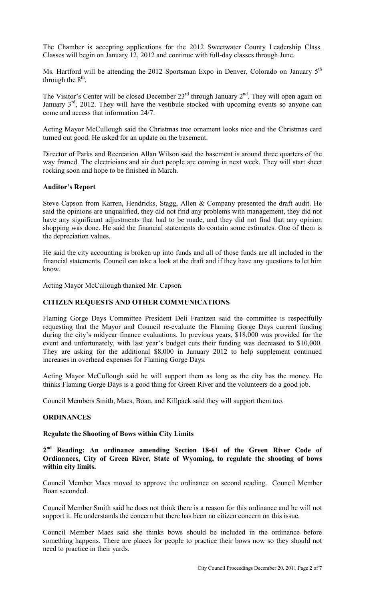The Chamber is accepting applications for the 2012 Sweetwater County Leadership Class. Classes will begin on January 12, 2012 and continue with full-day classes through June.

Ms. Hartford will be attending the 2012 Sportsman Expo in Denver, Colorado on January 5<sup>th</sup> through the  $8^{\text{th}}$ .

The Visitor's Center will be closed December  $23<sup>rd</sup>$  through January  $2<sup>nd</sup>$ . They will open again on January 3<sup>rd</sup>, 2012. They will have the vestibule stocked with upcoming events so anyone can come and access that information 24/7.

Acting Mayor McCullough said the Christmas tree ornament looks nice and the Christmas card turned out good. He asked for an update on the basement.

Director of Parks and Recreation Allan Wilson said the basement is around three quarters of the way framed. The electricians and air duct people are coming in next week. They will start sheet rocking soon and hope to be finished in March.

### **Auditor's Report**

Steve Capson from Karren, Hendricks, Stagg, Allen & Company presented the draft audit. He said the opinions are unqualified, they did not find any problems with management, they did not have any significant adjustments that had to be made, and they did not find that any opinion shopping was done. He said the financial statements do contain some estimates. One of them is the depreciation values.

He said the city accounting is broken up into funds and all of those funds are all included in the financial statements. Council can take a look at the draft and if they have any questions to let him know.

Acting Mayor McCullough thanked Mr. Capson.

## **CITIZEN REQUESTS AND OTHER COMMUNICATIONS**

Flaming Gorge Days Committee President Deli Frantzen said the committee is respectfully requesting that the Mayor and Council re-evaluate the Flaming Gorge Days current funding during the city's midyear finance evaluations. In previous years, \$18,000 was provided for the event and unfortunately, with last year's budget cuts their funding was decreased to \$10,000. They are asking for the additional \$8,000 in January 2012 to help supplement continued increases in overhead expenses for Flaming Gorge Days.

Acting Mayor McCullough said he will support them as long as the city has the money. He thinks Flaming Gorge Days is a good thing for Green River and the volunteers do a good job.

Council Members Smith, Maes, Boan, and Killpack said they will support them too.

## **ORDINANCES**

## **Regulate the Shooting of Bows within City Limits**

**2 nd Reading: An ordinance amending Section 18-61 of the Green River Code of Ordinances, City of Green River, State of Wyoming, to regulate the shooting of bows within city limits.** 

Council Member Maes moved to approve the ordinance on second reading. Council Member Boan seconded.

Council Member Smith said he does not think there is a reason for this ordinance and he will not support it. He understands the concern but there has been no citizen concern on this issue.

Council Member Maes said she thinks bows should be included in the ordinance before something happens. There are places for people to practice their bows now so they should not need to practice in their yards.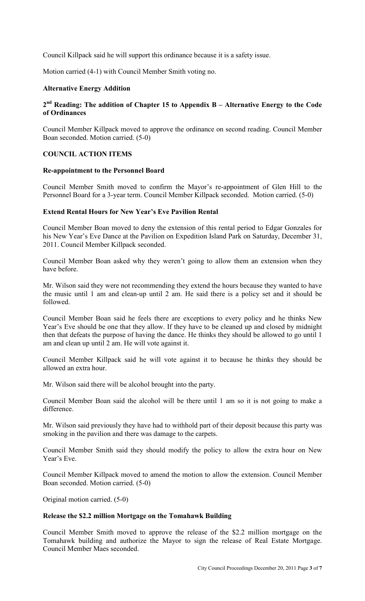Council Killpack said he will support this ordinance because it is a safety issue.

Motion carried (4-1) with Council Member Smith voting no.

### **Alternative Energy Addition**

# **2 nd Reading: The addition of Chapter 15 to Appendix B – Alternative Energy to the Code of Ordinances**

Council Member Killpack moved to approve the ordinance on second reading. Council Member Boan seconded. Motion carried. (5-0)

### **COUNCIL ACTION ITEMS**

#### **Re-appointment to the Personnel Board**

Council Member Smith moved to confirm the Mayor's re-appointment of Glen Hill to the Personnel Board for a 3-year term. Council Member Killpack seconded. Motion carried. (5-0)

# **Extend Rental Hours for New Year's Eve Pavilion Rental**

Council Member Boan moved to deny the extension of this rental period to Edgar Gonzales for his New Year's Eve Dance at the Pavilion on Expedition Island Park on Saturday, December 31, 2011. Council Member Killpack seconded.

Council Member Boan asked why they weren't going to allow them an extension when they have before.

Mr. Wilson said they were not recommending they extend the hours because they wanted to have the music until 1 am and clean-up until 2 am. He said there is a policy set and it should be followed.

Council Member Boan said he feels there are exceptions to every policy and he thinks New Year's Eve should be one that they allow. If they have to be cleaned up and closed by midnight then that defeats the purpose of having the dance. He thinks they should be allowed to go until 1 am and clean up until 2 am. He will vote against it.

Council Member Killpack said he will vote against it to because he thinks they should be allowed an extra hour.

Mr. Wilson said there will be alcohol brought into the party.

Council Member Boan said the alcohol will be there until 1 am so it is not going to make a difference.

Mr. Wilson said previously they have had to withhold part of their deposit because this party was smoking in the pavilion and there was damage to the carpets.

Council Member Smith said they should modify the policy to allow the extra hour on New Year's Eve.

Council Member Killpack moved to amend the motion to allow the extension. Council Member Boan seconded. Motion carried. (5-0)

Original motion carried. (5-0)

# **Release the \$2.2 million Mortgage on the Tomahawk Building**

Council Member Smith moved to approve the release of the \$2.2 million mortgage on the Tomahawk building and authorize the Mayor to sign the release of Real Estate Mortgage. Council Member Maes seconded.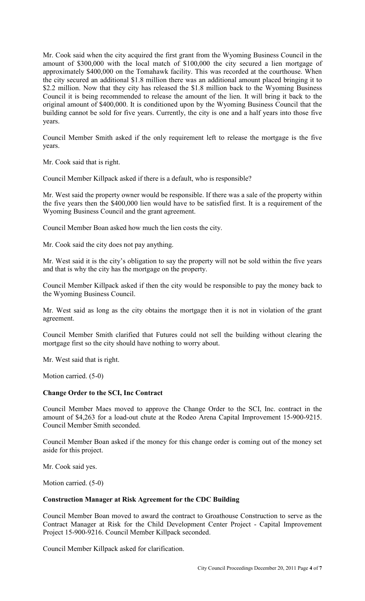Mr. Cook said when the city acquired the first grant from the Wyoming Business Council in the amount of \$300,000 with the local match of \$100,000 the city secured a lien mortgage of approximately \$400,000 on the Tomahawk facility. This was recorded at the courthouse. When the city secured an additional \$1.8 million there was an additional amount placed bringing it to \$2.2 million. Now that they city has released the \$1.8 million back to the Wyoming Business Council it is being recommended to release the amount of the lien. It will bring it back to the original amount of \$400,000. It is conditioned upon by the Wyoming Business Council that the building cannot be sold for five years. Currently, the city is one and a half years into those five years.

Council Member Smith asked if the only requirement left to release the mortgage is the five years.

Mr. Cook said that is right.

Council Member Killpack asked if there is a default, who is responsible?

Mr. West said the property owner would be responsible. If there was a sale of the property within the five years then the \$400,000 lien would have to be satisfied first. It is a requirement of the Wyoming Business Council and the grant agreement.

Council Member Boan asked how much the lien costs the city.

Mr. Cook said the city does not pay anything.

Mr. West said it is the city's obligation to say the property will not be sold within the five years and that is why the city has the mortgage on the property.

Council Member Killpack asked if then the city would be responsible to pay the money back to the Wyoming Business Council.

Mr. West said as long as the city obtains the mortgage then it is not in violation of the grant agreement.

Council Member Smith clarified that Futures could not sell the building without clearing the mortgage first so the city should have nothing to worry about.

Mr. West said that is right.

Motion carried. (5-0)

# **Change Order to the SCI, Inc Contract**

Council Member Maes moved to approve the Change Order to the SCI, Inc. contract in the amount of \$4,263 for a load-out chute at the Rodeo Arena Capital Improvement 15-900-9215. Council Member Smith seconded.

Council Member Boan asked if the money for this change order is coming out of the money set aside for this project.

Mr. Cook said yes.

Motion carried. (5-0)

## **Construction Manager at Risk Agreement for the CDC Building**

Council Member Boan moved to award the contract to Groathouse Construction to serve as the Contract Manager at Risk for the Child Development Center Project - Capital Improvement Project 15-900-9216. Council Member Killpack seconded.

Council Member Killpack asked for clarification.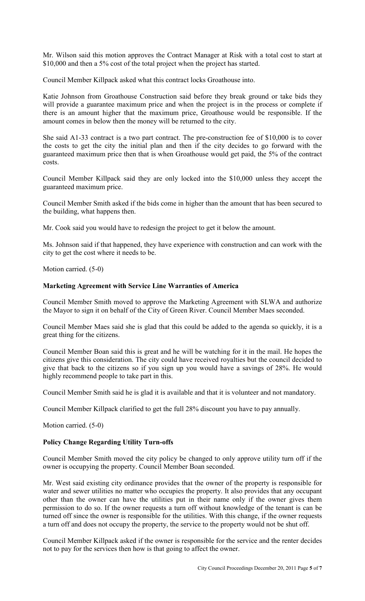Mr. Wilson said this motion approves the Contract Manager at Risk with a total cost to start at \$10,000 and then a 5% cost of the total project when the project has started.

Council Member Killpack asked what this contract locks Groathouse into.

Katie Johnson from Groathouse Construction said before they break ground or take bids they will provide a guarantee maximum price and when the project is in the process or complete if there is an amount higher that the maximum price, Groathouse would be responsible. If the amount comes in below then the money will be returned to the city.

She said A1-33 contract is a two part contract. The pre-construction fee of \$10,000 is to cover the costs to get the city the initial plan and then if the city decides to go forward with the guaranteed maximum price then that is when Groathouse would get paid, the 5% of the contract costs.

Council Member Killpack said they are only locked into the \$10,000 unless they accept the guaranteed maximum price.

Council Member Smith asked if the bids come in higher than the amount that has been secured to the building, what happens then.

Mr. Cook said you would have to redesign the project to get it below the amount.

Ms. Johnson said if that happened, they have experience with construction and can work with the city to get the cost where it needs to be.

Motion carried. (5-0)

### **Marketing Agreement with Service Line Warranties of America**

Council Member Smith moved to approve the Marketing Agreement with SLWA and authorize the Mayor to sign it on behalf of the City of Green River. Council Member Maes seconded.

Council Member Maes said she is glad that this could be added to the agenda so quickly, it is a great thing for the citizens.

Council Member Boan said this is great and he will be watching for it in the mail. He hopes the citizens give this consideration. The city could have received royalties but the council decided to give that back to the citizens so if you sign up you would have a savings of 28%. He would highly recommend people to take part in this.

Council Member Smith said he is glad it is available and that it is volunteer and not mandatory.

Council Member Killpack clarified to get the full 28% discount you have to pay annually.

Motion carried. (5-0)

## **Policy Change Regarding Utility Turn-offs**

Council Member Smith moved the city policy be changed to only approve utility turn off if the owner is occupying the property. Council Member Boan seconded.

Mr. West said existing city ordinance provides that the owner of the property is responsible for water and sewer utilities no matter who occupies the property. It also provides that any occupant other than the owner can have the utilities put in their name only if the owner gives them permission to do so. If the owner requests a turn off without knowledge of the tenant is can be turned off since the owner is responsible for the utilities. With this change, if the owner requests a turn off and does not occupy the property, the service to the property would not be shut off.

Council Member Killpack asked if the owner is responsible for the service and the renter decides not to pay for the services then how is that going to affect the owner.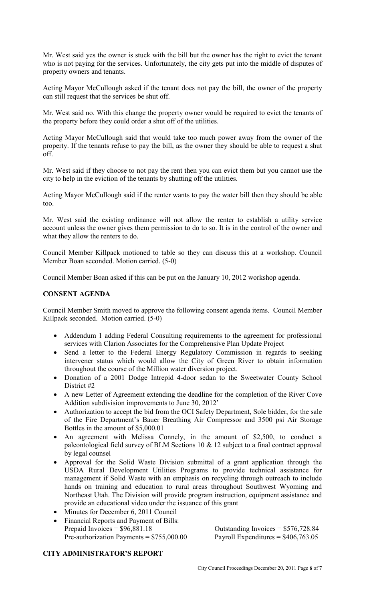Mr. West said yes the owner is stuck with the bill but the owner has the right to evict the tenant who is not paying for the services. Unfortunately, the city gets put into the middle of disputes of property owners and tenants.

Acting Mayor McCullough asked if the tenant does not pay the bill, the owner of the property can still request that the services be shut off.

Mr. West said no. With this change the property owner would be required to evict the tenants of the property before they could order a shut off of the utilities.

Acting Mayor McCullough said that would take too much power away from the owner of the property. If the tenants refuse to pay the bill, as the owner they should be able to request a shut off.

Mr. West said if they choose to not pay the rent then you can evict them but you cannot use the city to help in the eviction of the tenants by shutting off the utilities.

Acting Mayor McCullough said if the renter wants to pay the water bill then they should be able too.

Mr. West said the existing ordinance will not allow the renter to establish a utility service account unless the owner gives them permission to do to so. It is in the control of the owner and what they allow the renters to do.

Council Member Killpack motioned to table so they can discuss this at a workshop. Council Member Boan seconded. Motion carried. (5-0)

Council Member Boan asked if this can be put on the January 10, 2012 workshop agenda.

# **CONSENT AGENDA**

Council Member Smith moved to approve the following consent agenda items. Council Member Killpack seconded. Motion carried. (5-0)

- Addendum 1 adding Federal Consulting requirements to the agreement for professional services with Clarion Associates for the Comprehensive Plan Update Project
- Send a letter to the Federal Energy Regulatory Commission in regards to seeking intervener status which would allow the City of Green River to obtain information throughout the course of the Million water diversion project.
- Donation of a 2001 Dodge Intrepid 4-door sedan to the Sweetwater County School District #2
- A new Letter of Agreement extending the deadline for the completion of the River Cove Addition subdivision improvements to June 30, 2012'
- Authorization to accept the bid from the OCI Safety Department, Sole bidder, for the sale of the Fire Department's Bauer Breathing Air Compressor and 3500 psi Air Storage Bottles in the amount of \$5,000.01
- An agreement with Melissa Connely, in the amount of \$2,500, to conduct a paleontological field survey of BLM Sections 10 & 12 subject to a final contract approval by legal counsel
- Approval for the Solid Waste Division submittal of a grant application through the USDA Rural Development Utilities Programs to provide technical assistance for management if Solid Waste with an emphasis on recycling through outreach to include hands on training and education to rural areas throughout Southwest Wyoming and Northeast Utah. The Division will provide program instruction, equipment assistance and provide an educational video under the issuance of this grant
- Minutes for December 6, 2011 Council
- Financial Reports and Payment of Bills: Pre-authorization Payments =  $$755,000.00$  Payroll Expenditures =  $$406,763.05$

Outstanding Invoices  $= $576,728.84$ .

## **CITY ADMINISTRATOR'S REPORT**